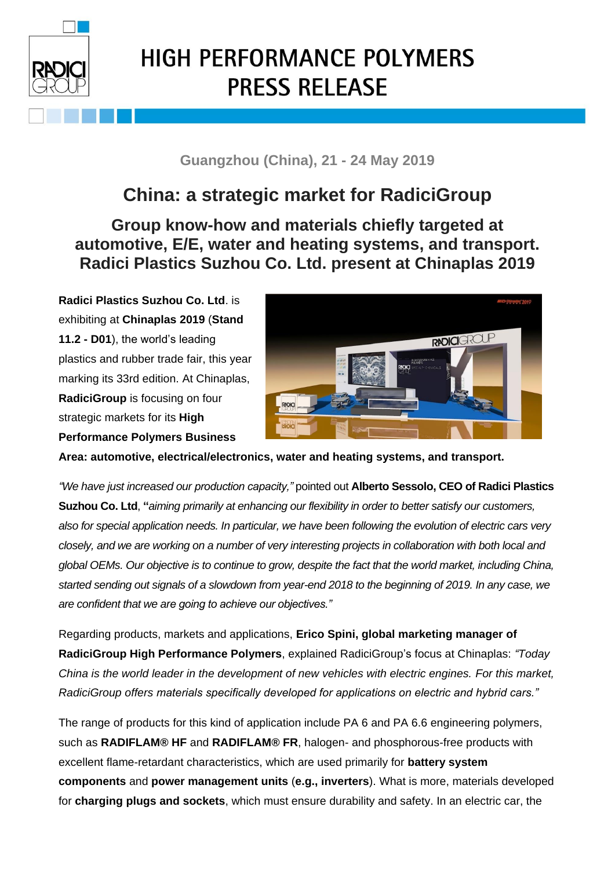

## **HIGH PERFORMANCE POLYMERS PRESS RELEASE**

## **Guangzhou (China), 21 - 24 May 2019**

## **China: a strategic market for RadiciGroup**

## **Group know-how and materials chiefly targeted at automotive, E/E, water and heating systems, and transport. Radici Plastics Suzhou Co. Ltd. present at Chinaplas 2019**

**Radici Plastics Suzhou Co. Ltd**. is exhibiting at **Chinaplas 2019** (**Stand 11.2 - D01**), the world's leading plastics and rubber trade fair, this year marking its 33rd edition. At Chinaplas, **RadiciGroup** is focusing on four strategic markets for its **High Performance Polymers Business**



**Area: automotive, electrical/electronics, water and heating systems, and transport.**

*"We have just increased our production capacity,"* pointed out **Alberto Sessolo, CEO of Radici Plastics Suzhou Co. Ltd**, **"***aiming primarily at enhancing our flexibility in order to better satisfy our customers, also for special application needs. In particular, we have been following the evolution of electric cars very closely, and we are working on a number of very interesting projects in collaboration with both local and global OEMs. Our objective is to continue to grow, despite the fact that the world market, including China, started sending out signals of a slowdown from year-end 2018 to the beginning of 2019. In any case, we are confident that we are going to achieve our objectives."*

Regarding products, markets and applications, **Erico Spini, global marketing manager of RadiciGroup High Performance Polymers**, explained RadiciGroup's focus at Chinaplas: *"Today China is the world leader in the development of new vehicles with electric engines. For this market, RadiciGroup offers materials specifically developed for applications on electric and hybrid cars."*

The range of products for this kind of application include PA 6 and PA 6.6 engineering polymers, such as **RADIFLAM® HF** and **RADIFLAM® FR**, halogen- and phosphorous-free products with excellent flame-retardant characteristics, which are used primarily for **battery system components** and **power management units** (**e.g., inverters**). What is more, materials developed for **charging plugs and sockets**, which must ensure durability and safety. In an electric car, the